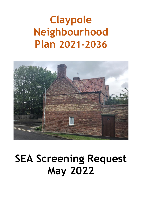# **Claypole Neighbourhood Plan 2021-2036**



# **SEA Screening Request May 2022**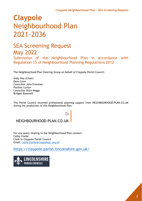# **Claypole** Neighbourhood Plan 2021-2036

### SEA Screening Request May 2022

Submission of the Neighbourhood Plan in accordance with Regulation 15 of Neighbourhood Planning Regulations 2012

The Neighbourhood Plan Steering Group on behalf of Claypole Parish Council:

Andy Hey (Chair) Dave Coxe Councillor John Freeman Pauline Luxton Councillor Alice Maggs Bridget Rosewell

The Parish Council received professional planning support from NEIGHBOURHOOD-PLAN.CO.UK during the production of this Neighbourhood Plan.

### NEIGHBOURHOOD-PLAN.CO.UK

For any query relating to the Neighbourhood Plan contact: Cathy Clarke Clerk to Claypole Parish Council Email: [cathy.clarke@claypolepc.org.uk](mailto:cathy.clarke@claypolepc.org.uk)

<https://claypole.parish.lincolnshire.gov.uk/>

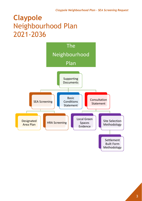## **Claypole** Neighbourhood Plan 2021-2036

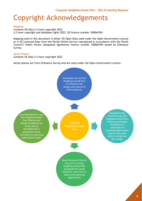### Copyright Acknowledgements

#### Mapping

Contains OS data © Crown copyright 2022 © Crown copyright and database rights 2022, OS licence number 100064394

Mapping used in this document is either OS Open Data used under the Open Government Licence or is OS Licenced Data from the Parish Online Service reproduced in accordance with the Parish Council's Public Sector Geospatial Agreement licence number 100064394 issued by Ordnance Survey.

#### Aerial Photos

Contains OS data © Crown copyright 2022

Aerial photos are from Ordnance Survey and are used under the Open Government Licence.

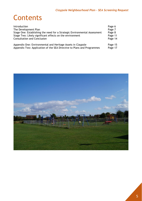### **Contents**

| Introduction                                                              | Page 6  |
|---------------------------------------------------------------------------|---------|
| The Development Plan                                                      | Page 7  |
| Stage One: Establishing the need for a Strategic Environmental Assessment | Page 8  |
| Stage Two: Likely significant effects on the environment                  | Page 11 |
| <b>Consultation and Conclusion</b>                                        | Page 14 |
| Appendix One: Environmental and Heritage Assets in Claypole               | Page 15 |
| Appendix Two: Application of the SEA Directive to Plans and Programmes    | Page 17 |

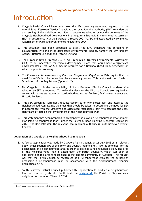### Introduction

- 1. Claypole Parish Council have undertaken this SEA screening statement request. It is the role of South Kesteven District Council as the Local Planning Authority (LPA) to undertake a screening of the Neighbourhood Plan to determine whether or not the contents of the Claypole Neighbourhood Development Plan require a Strategic Environmental Assessment (SEA) in accordance with the European Directive 2001/42/EC and associated Environmental Assessment of Plans and Programmes Regulations 2004.
- 2. This document has been produced to assist the LPA undertake the screening in collaboration with the three designated environmental bodies, namely the Environment Agency; Natural England; and Historic England.
- 3. The European Union Directive 2001/42/EC requires a Strategic Environmental Assessment (SEA) to be undertaken for certain development plans that would have a significant environmental effect. An SEA may be required for a Neighbourhood Plan, dependant on what the plan is proposing.
- 4. The *Environmental Assessment of Plans and Programmes Regulations 2004* require that the need for an SEA is to be determined by a screening process. This must meet the criteria of Schedule 1 of the Regulations (Appendix 2).
- 5. For Claypole, it is the responsibility of South Kesteven District Council to determine whether an SEA is required. To make this decision the District Council are required to consult with three statutory consultation bodies: Natural England, Environment Agency and Historic England.
- 6. This SEA screening statement request comprises of two parts: part one assesses the Neighbourhood Plan against the steps that should be taken to determine the need for SEA in accordance with the Directive and associated regulations, part two assesses the likely significant effects on the environment of the Neighbourhood Plan.
- 7. This Statement has been prepared to accompany the Claypole Neighbourhood Development Plan ('the Neighbourhood Plan') under the Neighbourhood Planning (General) Regulations 2012 ('the Regulations'). The relevant local planning authority is South Kesteven District Council.

#### **Designation of Claypole as a Neighbourhood Planning Area**

- 8. A formal application was made by Claypole Parish Council on 21 July 2013 as a 'relevant body' under Section 61G of the Town and Country Planning Act 1990 (as amended) for the designation of a neighbourhood area in order to develop a neighbourhood plan. The area of the Neighbourhood Plan is based upon the parish boundary, which was seen as appropriate as this area is recognised as the distinct community of Claypole. The request was that the Parish Council be recognised as a Neighbourhood Area for the purpose of producing a neighbourhood plan, in accordance with the Neighbourhood Planning Regulations 2012.
- 9. South Kesteven District Council publicised this application to produce a Neighbourhood Plan as required by statute. South Kesteven [designated](http://www.southkesteven.gov.uk/index.aspx?articleid=8397)<sup>1</sup> the Parish of Claypole as a neighbourhood area on 19 March 2014.

<sup>1</sup> http://www.southkesteven.gov.uk/index.aspx?articleid=8397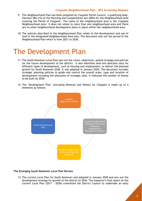- 9. The Neighbourhood Plan has been prepared by Claypole Parish Council, a qualifying body, (Section 38A (12) of the Planning and Compensation Act 2004) for the Neighbourhood Area covering the Parish of Claypole. The name of the neighbourhood area is the 'Claypole Neighbourhood Area'. It does not relate to more than one neighbourhood area and there are no other neighbourhood development plans in place within the neighbourhood area.
- 10. The policies described in the Neighbourhood Plan relate to the development and use of land in the designated Neighbourhood Area only. The document sets out the period of the Neighbourhood Plan which is from 2021 to 2036.

### The Development Plan

- 11. The South Kesteven Local Plan sets out the vision, objectives, spatial strategy and policies for the future development of the district. It also identifies land and allocates sites for different types of development, such as housing and employment, to deliver the planned growth for South Kesteven 2036. It was adopted in January 2020. The document includes strategic planning policies to guide and control the overall scale, type and location of development including the allocation of strategic sites. It indicates the number of homes to be built by 2036.
- 12. The 'Development Plan' (including Minerals and Waste) for Claypole is made up of 4 elements as follows:



#### **The Emerging South Kesteven Local Plan Review**

13. The current Local Plan for South Kesteven was adopted in January 2020 and sets out the development strategy for growth of the district to 2036. The Inspector's final report on the current Local Plan (2011 - 2036) committed the District Council to undertake an early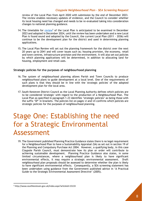review of the Local Plan from April 2020 with submission by the end of December 2023. The review enables necessary updates of evidence, and the Council to consider whether its local housing need has changed and needs to be re-evaluated taking into consideration changes to national planning guidance.

- 14. The timetable for [review](http://www.southkesteven.gov.uk/index.aspx?articleid=15133)<sup>2</sup> of the Local Plan is anticipated to be examined in December 2023 and adopted in December 2024, until the review has been undertaken and a new Local Plan is found sound and adopted by the Council, the current Local Plan (2011 - 2036) will continue to be the development plan for the district and used in determining planning applications.
- 15. The Local Plan Review will set out the planning framework for the district over the next 20 years up to 2041 and will cover issues such as; housing provision, the economy, retail and town centres, infrastructure provision and the environment. It will also set out policies by which planning applications will be determined, in addition to allocating land for housing, employment and retail uses.

#### **Strategic policies for the purposes of neighbourhood planning**

- 16. The system of neighbourhood planning allows Parish and Town Councils to produce neighbourhood plans to guide development at a local level. One of the requirements of such plans is that they should be in line with the 'strategic policies' of the adopted development plan for the local area.
- 17. South Kesteven District Council as the Local Planning Authority defines which policies are to be considered 'strategic' with regard to the production of a Neighbourhood Plan. The Local Plan as specified in paragraph 1.23 identifies 'strategic policies' as being those with the suffix 'SP' in brackets. The policies list on pages vi and vii confirms which policies are strategic policies for the purposes of neighbourhood planning.

## Stage One: Establishing the need for a Strategic Environmental Assessment

19. The Government published Planning Practice Guidance states there is no legal requirement for a Neighbourhood Plan to have a Sustainability Appraisal (SA) as set out in section 19 of the Planning and Compulsory Purchase Act 2004. However, a qualifying body, in this case Claypole Parish Council, must demonstrate how its plan or order will contribute to achieving sustainable development. Planning Practice Guidance also states, in some limited circumstances, where a neighbourhood plan is likely to have significant environmental effects, it may require a strategic environmental assessment. Draft neighbourhood plan proposals should be assessed to determine whether the plan is likely to have significant environmental effects. Consequently, a SEA screening statement has been undertaken using guidance from the Government published advice in 'A Practical Guide to the Strategic Environmental Assessment Directive' (2005).

<sup>2</sup> http://www.southkesteven.gov.uk/index.aspx?articleid=15133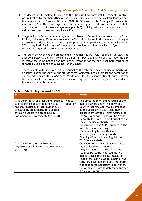- 20. The document 'A Practical Guidance to the Strategic Environmental Assessment Directive' was published by the then Office of the Deputy Prime Minister. It sets out guidance on how to comply with the European Directive 2001/42/EC known as the Strategic Environmental Assessment (SEA) Directive. Figure 2 of this practical guidance shows the Directive's field of application in the form of a diagram (Appendix 2), which provides an outcome of whether a directive does or does not require an SEA.
- 21. Claypole Parish Council as the designated body have to 'Determine whether a plan or Order is likely to have significant environmental effect'. In order to do this, we are providing an assessment of the NDP against the diagram provided in Appendix 2 to establish whether an SEA is required. Each stage of the diagram provides a criterion which a 'yes' or 'no' response is required to progress to the next stage.
- 22. The table below shows the assessment of whether the NDP will require a full SEA. The questions below are drawn from the diagram in Appendix 2 which sets out how the SEA Directive should be applied and provides justification for the particular path considered suitable by us on behalf of Claypole Parish Council.
- 23. The views of South Kesteven District Council as the relevant Local Planning Authority will be sought as will the views of the statutory environmental bodies through the consultation on the draft plan and the SEA Screening Statement. It is the responsibility of South Kesteven District Council to determine whether an SEA is required, this screening has been produced to assist them in this process.

| <b>Stage</b>                                                                                                                                                                                                                                        | Y/N                      | <b>Reason</b>                                                                                                                                                                                                                                                                                                                                                                                                                                                                                                                          |
|-----------------------------------------------------------------------------------------------------------------------------------------------------------------------------------------------------------------------------------------------------|--------------------------|----------------------------------------------------------------------------------------------------------------------------------------------------------------------------------------------------------------------------------------------------------------------------------------------------------------------------------------------------------------------------------------------------------------------------------------------------------------------------------------------------------------------------------------|
| 1. Is the PP (plan or programme) subject<br>to preparation and/or adoption by a<br>national, regional or local authority OR<br>prepared by an authority for adoption<br>through a legislative procedure by<br>Parliament or Government? (Art. 2(a)) | Yes to<br>criterion<br>1 | The preparation of and adoption of the<br>plan is allowed under The Town and<br>Country Planning Act 1990 as amended<br>by the Localism Act 2011. The NDP is<br>prepared by Claypole Parish Council (as<br>the 'relevant body') and will be 'made'<br>by South Kesteven District Council as the<br>Local Planning Authority. The<br>preparation of the NDP is subject to The<br>Neighbourhood Planning<br>(General) Regulations 2012 (as<br>amended) and The Neighbourhood<br>Planning (Referendums) Regulations<br>2012 (as amended). |
| 2. Is the PP required by legislative,<br>regulatory or administrative provisions?<br>(Art. 2(a))                                                                                                                                                    | No                       | Communities, such as Claypole have a<br>right to be able to produce a<br>Neighbourhood Plan. The plan is not<br>required by legislative, regulatory or<br>administrative provisions. Instead, if<br>'made' the plan would form part of the<br>statutory development plan. Therefore,<br>it is considered necessary to answer the<br>following questions to determine further<br>if an SEA is required.                                                                                                                                 |

#### **Table 1: Establishing the Need for SEA**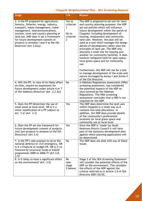| <b>Stage</b>                                                                                                                                                                                                                                                                                                                                           | Y/N                                                              | <b>Reason</b>                                                                                                                                                                                                                                                                                                                                                                                                                                                                                                                                                                                         |
|--------------------------------------------------------------------------------------------------------------------------------------------------------------------------------------------------------------------------------------------------------------------------------------------------------------------------------------------------------|------------------------------------------------------------------|-------------------------------------------------------------------------------------------------------------------------------------------------------------------------------------------------------------------------------------------------------------------------------------------------------------------------------------------------------------------------------------------------------------------------------------------------------------------------------------------------------------------------------------------------------------------------------------------------------|
| 3. Is the PP prepared for agriculture,<br>forestry, fisheries, energy, industry,<br>transport, waste management, water<br>management, telecommunications,<br>tourism, town and country planning or<br>land use, AND does it set a framework<br>for future development consent of<br>projects in Annexes I and II to the EIA<br>Directive? (Art 3.2(a)) | Yes to<br>criterion<br>1<br>No to<br>criterion<br>$\overline{2}$ | The NDP is prepared to set out for town<br>and country planning purposes; the NDP<br>set out policies which will influence<br>future development within the parish of<br>Claypole, including development of<br>housing, employment and community<br>land uses. However, the plan will be<br>used as a tool which manages the design<br>details of development rather than the<br>principles of land use. The NDP only<br>allocates a small site for housing and<br>another for community facilities. It does<br>however safeguard land for open space,<br>local green space and for community<br>use. |
|                                                                                                                                                                                                                                                                                                                                                        |                                                                  | Furthermore, the NDP will not be a tool<br>to manage development of the scale and<br>nature envisaged by Annex I and Annex II<br>of the EIA Directive.                                                                                                                                                                                                                                                                                                                                                                                                                                                |
| 4. Will the PP, in view of its likely effect<br>on sites, require an assessment for<br>future development under Article 6 or 7<br>of the Habitats Directive? (Art. 3.2 (b))                                                                                                                                                                            | <b>No</b>                                                        | A Habitats Regulations Assessment (HRA)<br>screening assessment, has considered<br>the potential impacts of the NDP on<br>sites covered by the Habitats<br>Regulations. This HRA screening<br>assessment concludes that a HRA is not<br>required for the NDP.                                                                                                                                                                                                                                                                                                                                         |
| 5. Does the PP Determine the use of<br>small areas at local level, OR is it a<br>minor modification of a PP subject to<br>Art. 3.2? (Art. 3.3)                                                                                                                                                                                                         | Yes                                                              | The NDP does determine the land uses<br>within Claypole in a small way as it<br>contains two land allocations. In<br>addition, the NDP does provide details<br>of the community's preferential<br>locations for local green space and<br>community use at local level.                                                                                                                                                                                                                                                                                                                                |
| 6. Does the PP set the framework for<br>future development consent of projects<br>(not just projects in annexes to the EIA<br>Directive)? (Art 3.4)                                                                                                                                                                                                    | Yes                                                              | Once the NDP is 'made' by South<br>Kesteven District Council it will form<br>part of the statutory development plan<br>against which planning applications will<br>be determined.                                                                                                                                                                                                                                                                                                                                                                                                                     |
| 7. Is the PP's sole purpose to serve the<br>national defence or civil emergency, OR<br>is it a financial or budget PP, OR is it co-<br>financed by structural funds or EAGGF<br>programmes 2000 to 2006/7? (Art 3.8,<br>3.9)                                                                                                                           | <b>No</b>                                                        | The NDP does not deal with any of these<br>issues.                                                                                                                                                                                                                                                                                                                                                                                                                                                                                                                                                    |
| 8. Is it likely to have a significant effect<br>on the environment? (Art. 3.5)                                                                                                                                                                                                                                                                         | <b>No</b><br>(see<br>stage<br>2 below)                           | Stage 2 of this SEA Screening Statement<br>will consider the potential effects of the<br>NDP on the environment. This considers<br>the effects of the NDP against the<br>criteria referred to in Article 3.5 of SEA<br>Directive 2001/42/EC.                                                                                                                                                                                                                                                                                                                                                          |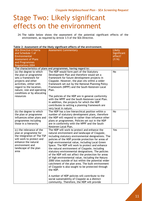## Stage Two: Likely significant effects on the environment

24. The table below shows the assessment of the potential significant effects of the environment, as required by Article 3.5 of the SEA Directive.

| <b>SEA Directive Criteria</b>                                                                                                                                                                                                  | <b>Assessment Commentary</b>                                                                                                                                                                                                                                                                                                                                                                                                                                                                                                                                                                                                                                                                                                                                                                                                                                              | Likely      |  |
|--------------------------------------------------------------------------------------------------------------------------------------------------------------------------------------------------------------------------------|---------------------------------------------------------------------------------------------------------------------------------------------------------------------------------------------------------------------------------------------------------------------------------------------------------------------------------------------------------------------------------------------------------------------------------------------------------------------------------------------------------------------------------------------------------------------------------------------------------------------------------------------------------------------------------------------------------------------------------------------------------------------------------------------------------------------------------------------------------------------------|-------------|--|
| and Schedule 1 of                                                                                                                                                                                                              |                                                                                                                                                                                                                                                                                                                                                                                                                                                                                                                                                                                                                                                                                                                                                                                                                                                                           | Significant |  |
| Environmental                                                                                                                                                                                                                  |                                                                                                                                                                                                                                                                                                                                                                                                                                                                                                                                                                                                                                                                                                                                                                                                                                                                           | effect?     |  |
| <b>Assessment of Plans</b>                                                                                                                                                                                                     |                                                                                                                                                                                                                                                                                                                                                                                                                                                                                                                                                                                                                                                                                                                                                                                                                                                                           | (Y/N)       |  |
| and Programmes                                                                                                                                                                                                                 |                                                                                                                                                                                                                                                                                                                                                                                                                                                                                                                                                                                                                                                                                                                                                                                                                                                                           |             |  |
| <b>Regulations 2004</b>                                                                                                                                                                                                        |                                                                                                                                                                                                                                                                                                                                                                                                                                                                                                                                                                                                                                                                                                                                                                                                                                                                           |             |  |
| The characteristics of plans and programmes, having regard to:                                                                                                                                                                 |                                                                                                                                                                                                                                                                                                                                                                                                                                                                                                                                                                                                                                                                                                                                                                                                                                                                           |             |  |
| (a) the degree to which<br>the plan or programme<br>sets a framework for<br>projects and other<br>activities, either with<br>regard to the location,<br>nature, size and operating<br>conditions or by allocating<br>resources | The NDP would form part of the Statutory<br>Development Plan and therefore would set a<br>framework for future development projects in<br>Claypole. However, the plan sits within a wider<br>framework set out by the National Planning Policy<br>Framework (NPPF) and the South Kesteven Local<br>Plan.<br>The policies of the NDP are in general conformity<br>with the NPPF and the South Kesteven Local Plan.<br>In addition, the projects for which the NDP<br>contributes to setting a planning framework are<br>very local in nature.                                                                                                                                                                                                                                                                                                                              | <b>No</b>   |  |
| (b) the degree to which<br>the plan or programme<br>influences other plans and<br>programmes including<br>those in a hierarchy                                                                                                 | The NDP has a low hierarchical position within a<br>number of statutory development plans, therefore<br>the NDP will respond to rather than influence other<br>plans or programmes. Policies set out in the NDP<br>are in conformity with the NPPF and the South<br>Kesteven Local Plan.                                                                                                                                                                                                                                                                                                                                                                                                                                                                                                                                                                                  | <b>No</b>   |  |
| (c) the relevance of the<br>plan or programme for<br>the integration of The TSP<br>will work to protect and<br>enhance the natural<br>environment and<br>landscape of the plan<br>area                                         | The NDP will work to protect and enhance the<br>natural environment and landscape of Claypole,<br>including statutory environmental designations. The<br>policies of the NDP provide protection for areas of<br>high environmental value, including Local Green<br>Space. The NDP will work to protect and enhance<br>the natural environment of Claypole, including<br>statutory environmental designations. The policies<br>of the NDP will not affect the protection for areas<br>of high environmental value, including the Natura<br>2000 sites outside of but within the potential wider<br>catchment of the plan area. The built environment<br>of Claypole is also sought to be protected through<br>the NDP.<br>A number of NDP policies will contribute to the<br>social sustainability of Claypole as a distinct<br>community. Therefore, the NDP will provide | Yes         |  |

#### **Table 2: Assessment of the likely significant effects of the environment.**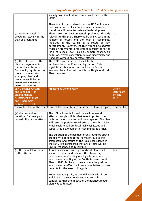|                                                                                                                                                                                                                          | socially sustainable development as defined in the<br>NPPF.                                                                                                                                                                                                                                                                                                                                                                                                                   |                       |  |  |
|--------------------------------------------------------------------------------------------------------------------------------------------------------------------------------------------------------------------------|-------------------------------------------------------------------------------------------------------------------------------------------------------------------------------------------------------------------------------------------------------------------------------------------------------------------------------------------------------------------------------------------------------------------------------------------------------------------------------|-----------------------|--|--|
|                                                                                                                                                                                                                          | Therefore, it is considered that the NDP will have a<br>positive impact on local environmental assets and<br>therefore will promote sustainable development.                                                                                                                                                                                                                                                                                                                  |                       |  |  |
| (d) environmental<br>problems relevant to the<br>plan or programme                                                                                                                                                       | There are no environmental problems directly<br>relevant to this plan. There will be an increase in the<br>number of houses and the level of community<br>facilities in the parish as a result of new<br>development. However, the NDP will help to address<br>wider environmental problems as highlighted in the<br>NPPF at a local level, such as climate change, air<br>pollution, traffic congestion, loss of biodiversity and<br>flooding; without any negative effects. | <b>No</b>             |  |  |
| (e) the relevance of the<br>plan or programme for<br>the implementation of<br>Community legislation on<br>the environment (for<br>example, plans and<br>programmes linked to<br>waste management or<br>water protection) | The NDP is not directly relevant to the<br>implementation of European legislation. This<br>legislation is taken into account by the South<br>Kesteven Local Plan with which the Neighbourhood<br>Plan complies.                                                                                                                                                                                                                                                               | <b>No</b>             |  |  |
| <b>SEA Directive Criteria</b><br>and Schedule 1 of                                                                                                                                                                       | <b>Assessment Commentary</b>                                                                                                                                                                                                                                                                                                                                                                                                                                                  | Likely<br>Significant |  |  |
| Environmental<br><b>Assessment of Plans</b><br>and Programmes<br><b>Regulations 2004</b>                                                                                                                                 |                                                                                                                                                                                                                                                                                                                                                                                                                                                                               | effect?<br>(Y/N)      |  |  |
| to:                                                                                                                                                                                                                      | Characteristics of the effects and of the area likely to be affected, having regard, in particular,                                                                                                                                                                                                                                                                                                                                                                           |                       |  |  |
|                                                                                                                                                                                                                          |                                                                                                                                                                                                                                                                                                                                                                                                                                                                               |                       |  |  |
| (a) the probability,<br>duration, frequency and<br>reversibility of the effects                                                                                                                                          | The NDP will result in positive environmental<br>effects through policies that seek to protect the<br>built heritage character and green spaces. The plan<br>will result in positive social effects through policies<br>which seek to address local highways issues and<br>support the development of community facilities.<br>The duration of the positive effects outlined above<br>are likely to be long term. However, due to the                                         | <b>No</b>             |  |  |
|                                                                                                                                                                                                                          | small scale and nature of the issues considered in<br>the NDP, it is considered that any effects will be                                                                                                                                                                                                                                                                                                                                                                      |                       |  |  |
| (b) the cumulative nature<br>of the effects                                                                                                                                                                              | low in frequency and reversible.<br>A combination of this neighbourhood plan which<br>seeks to protect and enhance the character,<br>environment and setting of Claypole, and wider<br>environmental policy of the South Kesteven Local<br>Plan to 2036, is likely to have cumulative positive<br>environmental effects will have cumulative positive<br>benefits for the area of Claypole.                                                                                   | Yes                   |  |  |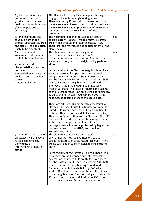| (c) the trans boundary<br>nature of the effects                                                                                                                                                                                                     | All effects will be very local in impact, having<br>negligible impacts on neighbouring areas.                                                                                                                                                                                                                                                                                                                                                                                                                                                                                                                                                                                                                                                                                                                                                                                                                                                                                                                                                                                                                                                                                                                                                                      | No        |
|-----------------------------------------------------------------------------------------------------------------------------------------------------------------------------------------------------------------------------------------------------|--------------------------------------------------------------------------------------------------------------------------------------------------------------------------------------------------------------------------------------------------------------------------------------------------------------------------------------------------------------------------------------------------------------------------------------------------------------------------------------------------------------------------------------------------------------------------------------------------------------------------------------------------------------------------------------------------------------------------------------------------------------------------------------------------------------------------------------------------------------------------------------------------------------------------------------------------------------------------------------------------------------------------------------------------------------------------------------------------------------------------------------------------------------------------------------------------------------------------------------------------------------------|-----------|
| (d) the risks to human<br>health or the environment<br>(for example, due to<br>accidents)                                                                                                                                                           | There are no significant risks to human health or<br>the environment. Instead, the plan aims to enhance<br>the environment and to provide the infrastructure<br>required to meet the social needs of local<br>residents.                                                                                                                                                                                                                                                                                                                                                                                                                                                                                                                                                                                                                                                                                                                                                                                                                                                                                                                                                                                                                                           | <b>No</b> |
| (e) the magnitude and<br>spatial extent of the<br>effects (geographical area<br>and size of the population<br>likely to be affected);                                                                                                               | The Neighbourhood Plan relates to an area of<br>approximately 1,200ha. This is a relatively small<br>area with a population of approximately 1,382.<br>Therefore, the magnitude and spatial extent of the<br>plan is small.                                                                                                                                                                                                                                                                                                                                                                                                                                                                                                                                                                                                                                                                                                                                                                                                                                                                                                                                                                                                                                        | Yes       |
| (f) the value and<br>vulnerability of the area<br>likely to be affected due<br>to:<br>- special natural<br>characteristics or cultural<br>heritage;<br>- exceeded environmental<br>quality standards or limit<br>values; or<br>- intensive land-use | The plan area contains no designated<br>environmental sites such as Sites of Special<br>Scientific Interest or Local Nature Reserves. There<br>are no such designations in neighbouring parishes<br>either.<br>In the vicinity of the Claypole Neighbourhood Plan<br>area there are no European and International<br>designations of interest. In South Kesteven there<br>are the Baston Fen SAC and Grimsthorpe SAC, both<br>near to Bourne. In neighbouring Newark and<br>Sherwood is the Birklands/Bilhaugh SAC which is<br>west of Ollerton. The latter of these is the closest<br>to the Neighbourhood Plan area lying approximately<br>27km to the north-west. Grimsthorpe SAC is the<br>next closest at some 34km to the south-east.<br>There are 10 Listed Buildings within the Parish of<br>Claypole; 9 Grade II Listed Buildings, no Grade II*<br>Listed Building and one Grade I Listed Building. In<br>addition, there is one Scheduled Monument (SAM).<br>There is no Conservation Area in Claypole. The NDP<br>Policies will provide protection to heritage assets<br>within the entire plan area. In addition, these<br>heritage assets will also be protected by higher tier<br>documents, such as the NPPF, and the South<br>Kesteven Local Plan. | Yes       |
| (g) the effects on areas or<br>landscapes which have a<br>recognized national,<br>Community or<br>international protection<br>status                                                                                                                | The plan area contains no designated<br>environmental sites such as Sites of Special<br>Scientific Interest or Local Nature Reserves. There<br>are no such designations in neighbouring parishes<br>either.<br>In the vicinity of the Claypole Neighbourhood Plan<br>area there are no European and International<br>designations of interest. In South Kesteven there<br>are the Baston Fen SAC and Grimsthorpe SAC, both<br>near to Bourne. In neighbouring Newark and<br>Sherwood is the Birklands/Bilhaugh SAC which is<br>west of Ollerton. The latter of these is the closest<br>to the Neighbourhood Plan area lying approximately<br>27km to the north-west. Grimsthorpe SAC is the<br>next closest at some 34km to the south-east.                                                                                                                                                                                                                                                                                                                                                                                                                                                                                                                        | <b>No</b> |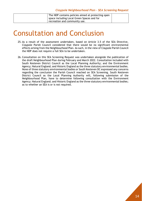The NDP contains policies aimed at protecting open space including Local Green Spaces and for recreation and community use.

### Consultation and Conclusion

- 25. As a result of the assessment undertaken, based on Article 3.5 of the SEA Directive, Claypole Parish Council considered that there would be no significant environmental effects arising from the Neighbourhood Plan. As such, in the view of Claypole Parish Council the NDP does not require a full SEA to be undertaken.
- 26. Consultation on this SEA Screening Request was undertaken alongside the publication of the draft Neighbourhood Plan during February and March 2022. Consultation included with South Kesteven District Council as the Local Planning Authority; and the Environment Agency; Natural England; and Historic England as the three statutory environmental bodies. None of three statutory environmental bodies or South Kesteven DC expressed any concerns regarding the conclusion the Parish Council reached on SEA Screening. South Kesteven District Council as the Local Planning Authority will, following submission of the Neighbourhood Plan, have to determine following consultation with the Environment Agency; Natural England; and Historic England as the three statutory environmental bodies; as to whether an SEA is or is not required.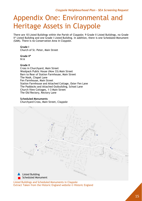# Appendix One: Environmental and Heritage Assets in Claypole

There are 10 Listed Buildings within the Parish of Claypole; 9 Grade II Listed Buildings, no Grade II\* Listed Building and one Grade I Listed Building. In addition, there is one Scheduled Monument (SAM). There is no Conservation Area in Claypole.

#### **Grade I**

Church of St. Peter, Main Street

**Grade II\*** N/A

#### **Grade II**

Cross in Churchyard, Main Street Woolpack Public House (Now 33) Main Street Barn to Rear of Station Farmhouse, Main Street The Nook, Chapel Lane Fen Farmhouse, Main Street Station Farmhouse and Attached Cottage, Oster Fen Lane The Paddocks and Attached Outbuilding, School Lane Church View Cottages, 1-3 Main Street The Old Rectory, Rectory Lane

#### **Scheduled Monuments**

Churchyard Cross, Main Street, Claypole



Listed Buildings and Scheduled Monuments in Claypole Extract Taken from the Historic England website © Historic England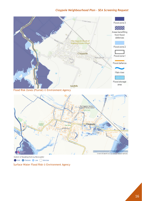

Extent of flooding from surface water High Medium Low Very Low

Surface Water Flood Risk © Environment Agency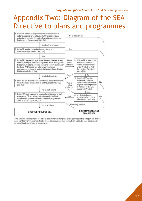## Appendix Two: Diagram of the SEA Directive to plans and programmes



\*The Directive requires Member States to determine whether plans or programmes in this category are likely to have significant environmental effects. These determinations may be made on a case by case basis and/or by specifying types of plan or programme.